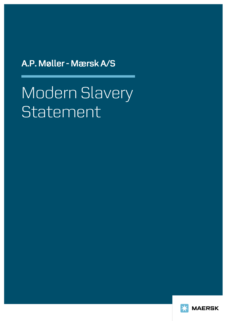A.P. Møller - Mærsk A/S

# Modern Slavery Statement

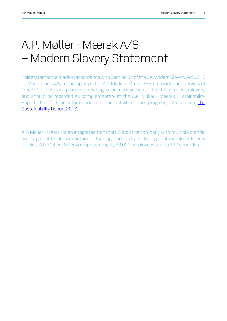# A.P. Møller - Mærsk A/S – Modern Slavery Statement

This statement is made in accordance with Section 54 of the UK Modern Slavery Act 2015 by Maersk Line A/S, reporting as part of A.P. Møller – Mærsk A/S. It provides an overview of Maersk's policies and processes relating to the management of the risk of modern slavery, and should be regarded as complementary to the A.P. Moller - Maersk Sustainability Report. For further information on our activities and progress, please see [the](http://www.maersk.com/en/the-maersk-group/sustainability/reports)  [Sustainability Report 2016.](http://www.maersk.com/en/the-maersk-group/sustainability/reports)

A.P. Moller - Maersk is an integrated transport & logistics company with multiple brands, and a global leader in container shipping and ports. Including a stand-alone Energy division, A.P. Moller - Maersk employs roughly 88,000 employees across 130 countries.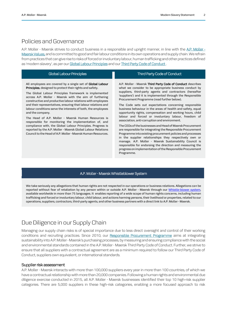### Policies and Governance

A.P. Moller - Maersk strives to conduct business in a responsible and upright manner, in line with the A.P. Moller -[Maersk Values,](http://www.maersk.com/en/the-maersk-group/about-us/maersk-group-core-values) and is committed to good and fair labour conditions in its own operations and supply chain. We refrain from practices that can give rise to risksof forced or involuntary labour, human trafficking and other practices defined as 'modern slavery', as per our [Global Labour Principles](http://www.maersk.com/~/media/the%20maersk%20group/sustainability/files/global-labour-principles/maersk_global_labour_principles.pdf) and our Third Party Code of Conduct.

| Global Labour Principles                                                                                                                                                                                                                                                                                                                                                                                                                                                                                                                                                                                                                                                                                                                                                                   | Third Party Code of Conduct                                                                                                                                                                                                                                                                                                                                                                                                                                                                                                                                                                                                                                                                                                                                                                                                                                                                                                                                                                                                                      |
|--------------------------------------------------------------------------------------------------------------------------------------------------------------------------------------------------------------------------------------------------------------------------------------------------------------------------------------------------------------------------------------------------------------------------------------------------------------------------------------------------------------------------------------------------------------------------------------------------------------------------------------------------------------------------------------------------------------------------------------------------------------------------------------------|--------------------------------------------------------------------------------------------------------------------------------------------------------------------------------------------------------------------------------------------------------------------------------------------------------------------------------------------------------------------------------------------------------------------------------------------------------------------------------------------------------------------------------------------------------------------------------------------------------------------------------------------------------------------------------------------------------------------------------------------------------------------------------------------------------------------------------------------------------------------------------------------------------------------------------------------------------------------------------------------------------------------------------------------------|
| All employees are covered by a single set of <b>Global Labour</b><br><b>Principles</b> , designed to protect their rights and safety.<br>The Global Labour Principles framework is implemented<br>across A.P. Moller - Maersk with the aim of furthering<br>constructive and productive labour relations with employees<br>and their representatives, ensuring that labour relations and<br>labour conditions serve the interests of both, the employees<br>and the company.<br>The Head of A.P. Moller - Maersk Human Resources is<br>responsible for monitoring the implementation of, and<br>compliance with, the Global Labour Principles. Progress is<br>reported by the A.P. Moller - Maersk Global Labour Relations<br>Council to the Head of A.P. Moller - Maersk Human Resources. | A.P. Moller - Maersk Third Party Code of Conduct describes<br>what we consider to be appropriate business conduct by<br>suppliers, third-party agents and contractors (hereafter<br>'suppliers') and it is implemented through the Responsible<br>Procurement Programme (read further below).<br>The Code sets out expectations concerning responsible<br>business behaviour in the areas of health and safety, equal<br>opportunity rights, compensation and working hours, child<br>labour and forced or involuntary labour, freedom of<br>association, anti-corruption and environment.<br>The CEOs of the businesses and Head of Maersk Procurement<br>are responsible for integrating the Responsible Procurement<br>Programme into existing procurement policies and processes<br>in the supplier relationships they respectively own or<br>manage. A.P. Moller - Maersk Sustainability Council is<br>responsible for endorsing the direction and measuring the<br>progress on implementation of the Responsible Procurement<br>Programme. |

#### A.P. Moller - Maersk Whistleblower System

We take seriously any allegations that human rights are not respected in our operations or business relations. Allegations can be reported without fear of retaliation by any person within or outside A.P. Moller - Maersk through our Whistle-blower system, available worldwide in more than 75 languages. It enables reporting of a wide scope of human rights concerns, including human trafficking and forced or involuntary labour, child labour, and actions harming persons, their livelihood or properties, related to our operations, suppliers, contractors, third-party agents, and other business partners with a direct link to A.P. Moller - Maersk.

# Due Diligence in our Supply Chain

Managing our supply chain risks is of special importance due to less direct oversight and control of their working conditions and recruiting practices. Since 2010, our [Responsible Procurement](http://www.maersk.com/en/the-maersk-group/sustainability/responsible-procurement) Programme aims at integrating sustainability into A.P. Moller - Maersk's purchasing processes, by measuring and ensuring compliance with the social and environmental standards contained in the A.P. Moller - Maersk Third Party Code of Conduct. Further, we strive to ensure that all suppliers with a contractual agreement are as a minimum required to follow our Third Party Code of Conduct, suppliers own equivalent, or international standards.

#### Supplier risk assessment

A.P. Moller - Maersk interacts with more than 100,000 suppliers every year in more than 100 countries, of which we have a contractual relationship with more than 20,000 companies. Following a human rights and environmental due diligence exercise conducted in 2015, all A.P. Moller - Maersk businesses identified their top 10 high-risk supplier categories. There are 5,000 suppliers in these high-risk categories, enabling a more focused approach to risk